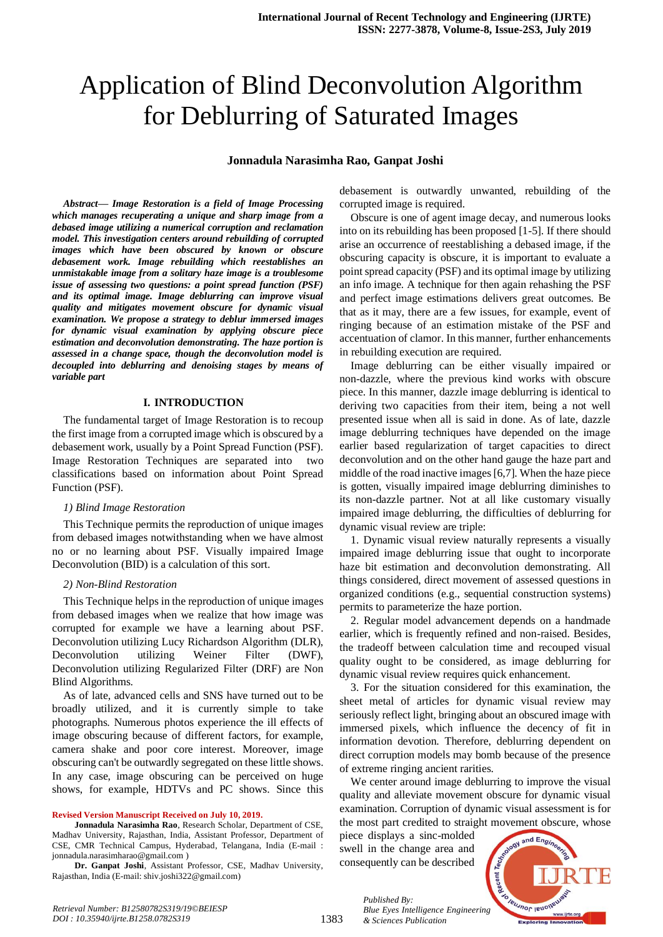# Application of Blind Deconvolution Algorithm for Deblurring of Saturated Images

#### **Jonnadula Narasimha Rao, Ganpat Joshi**

*Abstract***—** *Image Restoration is a field of Image Processing which manages recuperating a unique and sharp image from a debased image utilizing a numerical corruption and reclamation model. This investigation centers around rebuilding of corrupted images which have been obscured by known or obscure debasement work. Image rebuilding which reestablishes an unmistakable image from a solitary haze image is a troublesome issue of assessing two questions: a point spread function (PSF) and its optimal image. Image deblurring can improve visual quality and mitigates movement obscure for dynamic visual examination. We propose a strategy to deblur immersed images for dynamic visual examination by applying obscure piece estimation and deconvolution demonstrating. The haze portion is assessed in a change space, though the deconvolution model is decoupled into deblurring and denoising stages by means of variable part*

#### **I. INTRODUCTION**

The fundamental target of Image Restoration is to recoup the first image from a corrupted image which is obscured by a debasement work, usually by a Point Spread Function (PSF). Image Restoration Techniques are separated into two classifications based on information about Point Spread Function (PSF).

#### *1) Blind Image Restoration*

This Technique permits the reproduction of unique images from debased images notwithstanding when we have almost no or no learning about PSF. Visually impaired Image Deconvolution (BID) is a calculation of this sort.

#### *2) Non-Blind Restoration*

This Technique helps in the reproduction of unique images from debased images when we realize that how image was corrupted for example we have a learning about PSF. Deconvolution utilizing Lucy Richardson Algorithm (DLR), Deconvolution utilizing Weiner Filter (DWF), Deconvolution utilizing Regularized Filter (DRF) are Non Blind Algorithms.

As of late, advanced cells and SNS have turned out to be broadly utilized, and it is currently simple to take photographs. Numerous photos experience the ill effects of image obscuring because of different factors, for example, camera shake and poor core interest. Moreover, image obscuring can't be outwardly segregated on these little shows. In any case, image obscuring can be perceived on huge shows, for example, HDTVs and PC shows. Since this

#### **Revised Version Manuscript Received on July 10, 2019.**

**Jonnadula Narasimha Rao**, Research Scholar, Department of CSE, Madhav University, Rajasthan, India, Assistant Professor, Department of CSE, CMR Technical Campus, Hyderabad, Telangana, India (E-mail : jonnadula.narasimharao@gmail.com )

**Dr. Ganpat Joshi**, Assistant Professor, CSE, Madhav University, Rajasthan, India (E-mail: shiv.joshi322@gmail.com)

debasement is outwardly unwanted, rebuilding of the corrupted image is required.

Obscure is one of agent image decay, and numerous looks into on its rebuilding has been proposed [1-5]. If there should arise an occurrence of reestablishing a debased image, if the obscuring capacity is obscure, it is important to evaluate a point spread capacity (PSF) and its optimal image by utilizing an info image. A technique for then again rehashing the PSF and perfect image estimations delivers great outcomes. Be that as it may, there are a few issues, for example, event of ringing because of an estimation mistake of the PSF and accentuation of clamor. In this manner, further enhancements in rebuilding execution are required.

Image deblurring can be either visually impaired or non-dazzle, where the previous kind works with obscure piece. In this manner, dazzle image deblurring is identical to deriving two capacities from their item, being a not well presented issue when all is said in done. As of late, dazzle image deblurring techniques have depended on the image earlier based regularization of target capacities to direct deconvolution and on the other hand gauge the haze part and middle of the road inactive images [6,7]. When the haze piece is gotten, visually impaired image deblurring diminishes to its non-dazzle partner. Not at all like customary visually impaired image deblurring, the difficulties of deblurring for dynamic visual review are triple:

1. Dynamic visual review naturally represents a visually impaired image deblurring issue that ought to incorporate haze bit estimation and deconvolution demonstrating. All things considered, direct movement of assessed questions in organized conditions (e.g., sequential construction systems) permits to parameterize the haze portion.

2. Regular model advancement depends on a handmade earlier, which is frequently refined and non-raised. Besides, the tradeoff between calculation time and recouped visual quality ought to be considered, as image deblurring for dynamic visual review requires quick enhancement.

3. For the situation considered for this examination, the sheet metal of articles for dynamic visual review may seriously reflect light, bringing about an obscured image with immersed pixels, which influence the decency of fit in information devotion. Therefore, deblurring dependent on direct corruption models may bomb because of the presence of extreme ringing ancient rarities.

We center around image deblurring to improve the visual quality and alleviate movement obscure for dynamic visual examination. Corruption of dynamic visual assessment is for the most part credited to straight movement obscure, whose

piece displays a sinc-molded swell in the change area and consequently can be described

*& Sciences Publication* 

*Published By:*

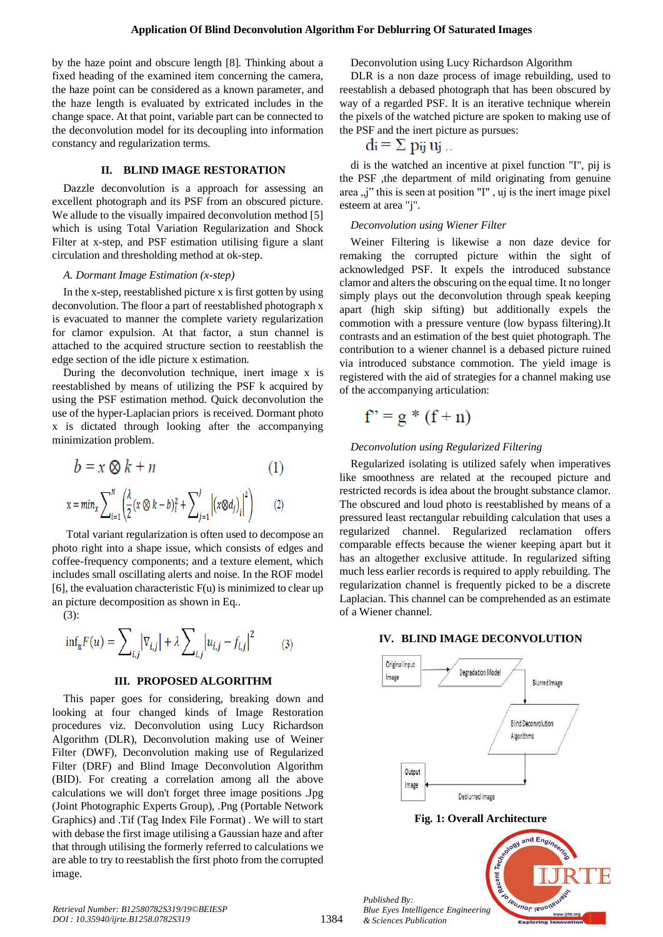by the haze point and obscure length [8]. Thinking about a fixed heading of the examined item concerning the camera, the haze point can be considered as a known parameter, and the haze length is evaluated by extricated includes in the change space. At that point, variable part can be connected to the deconvolution model for its decoupling into information constancy and regularization terms.

### **II. BLIND IMAGE RESTORATION**

Dazzle deconvolution is a approach for assessing an excellent photograph and its PSF from an obscured picture. We allude to the visually impaired deconvolution method [5] which is using Total Variation Regularization and Shock Filter at x-step, and PSF estimation utilising figure a slant circulation and thresholding method at ok-step.

#### *A. Dormant Image Estimation (x-step)*

In the x-step, reestablished picture x is first gotten by using deconvolution. The floor a part of reestablished photograph x is evacuated to manner the complete variety regularization for clamor expulsion. At that factor, a stun channel is attached to the acquired structure section to reestablish the edge section of the idle picture x estimation.

During the deconvolution technique, inert image x is reestablished by means of utilizing the PSF k acquired by using the PSF estimation method. Quick deconvolution the use of the hyper-Laplacian priors is received. Dormant photo x is dictated through looking after the accompanying minimization problem.

$$
b = x \otimes k + n
$$
  
\n
$$
x = min_x \sum_{i=1}^{N} \left( \frac{\lambda}{2} (x \otimes k - b)_{i}^{2} + \sum_{j=1}^{J} \left| (x \otimes d_{j})_{i} \right|^{2} \right)
$$
 (2)

Total variant regularization is often used to decompose an photo right into a shape issue, which consists of edges and coffee-frequency components; and a texture element, which includes small oscillating alerts and noise. In the ROF model  $[6]$ , the evaluation characteristic  $F(u)$  is minimized to clear up an picture decomposition as shown in Eq..

(3):

$$
\inf_{u} F(u) = \sum\nolimits_{i,j} \left| \nabla_{i,j} \right| + \lambda \sum\nolimits_{i,j} \left| u_{i,j} - f_{i,j} \right|^2 \hspace{1cm} (3)
$$

## **III. PROPOSED ALGORITHM**

This paper goes for considering, breaking down and looking at four changed kinds of Image Restoration procedures viz. Deconvolution using Lucy Richardson Algorithm (DLR), Deconvolution making use of Weiner Filter (DWF), Deconvolution making use of Regularized Filter (DRF) and Blind Image Deconvolution Algorithm (BID). For creating a correlation among all the above calculations we will don't forget three image positions .Jpg (Joint Photographic Experts Group), .Png (Portable Network Graphics) and .Tif (Tag Index File Format) . We will to start with debase the first image utilising a Gaussian haze and after that through utilising the formerly referred to calculations we are able to try to reestablish the first photo from the corrupted image.

Deconvolution using Lucy Richardson Algorithm

DLR is a non daze process of image rebuilding, used to reestablish a debased photograph that has been obscured by way of a regarded PSF. It is an iterative technique wherein the pixels of the watched picture are spoken to making use of the PSF and the inert picture as pursues:

$$
di = \sum \pi y_i u_j \dots
$$

di is the watched an incentive at pixel function "I", pij is the PSF ,the department of mild originating from genuine area , j" this is seen at position "I", uj is the inert image pixel esteem at area "j".

### *Deconvolution using Wiener Filter*

Weiner Filtering is likewise a non daze device for remaking the corrupted picture within the sight of acknowledged PSF. It expels the introduced substance clamor and alters the obscuring on the equal time. It no longer simply plays out the deconvolution through speak keeping apart (high skip sifting) but additionally expels the commotion with a pressure venture (low bypass filtering).It contrasts and an estimation of the best quiet photograph. The contribution to a wiener channel is a debased picture ruined via introduced substance commotion. The yield image is registered with the aid of strategies for a channel making use of the accompanying articulation:

$$
f'' = g * (f + n)
$$

# *Deconvolution using Regularized Filtering*

Regularized isolating is utilized safely when imperatives like smoothness are related at the recouped picture and restricted records is idea about the brought substance clamor. The obscured and loud photo is reestablished by means of a pressured least rectangular rebuilding calculation that uses a regularized channel. Regularized reclamation offers comparable effects because the wiener keeping apart but it has an altogether exclusive attitude. In regularized sifting much less earlier records is required to apply rebuilding. The regularization channel is frequently picked to be a discrete Laplacian. This channel can be comprehended as an estimate of a Wiener channel.

## **IV. BLIND IMAGE DECONVOLUTION**

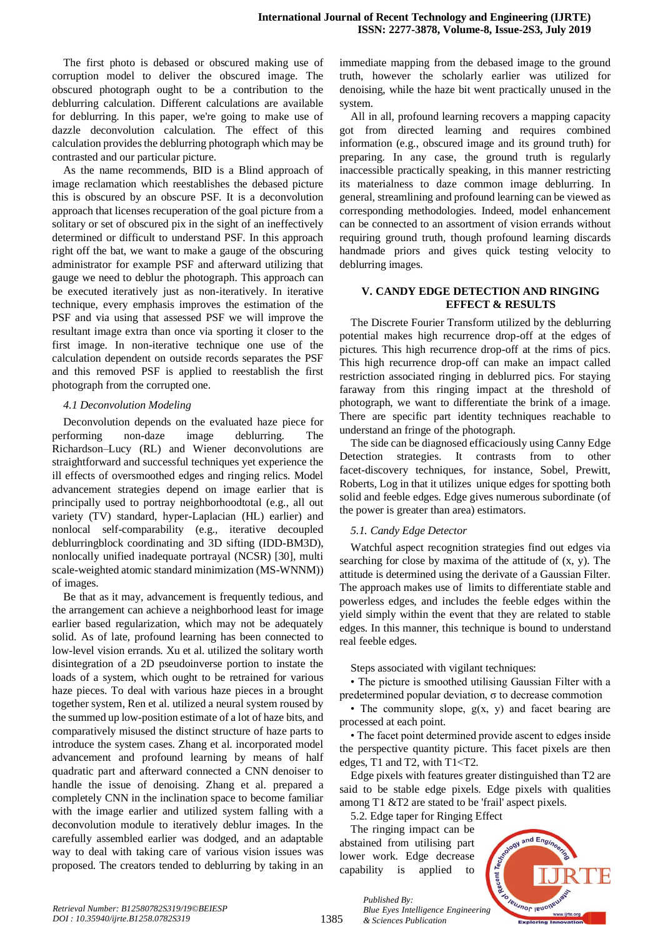The first photo is debased or obscured making use of corruption model to deliver the obscured image. The obscured photograph ought to be a contribution to the deblurring calculation. Different calculations are available for deblurring. In this paper, we're going to make use of dazzle deconvolution calculation. The effect of this calculation provides the deblurring photograph which may be contrasted and our particular picture.

As the name recommends, BID is a Blind approach of image reclamation which reestablishes the debased picture this is obscured by an obscure PSF. It is a deconvolution approach that licenses recuperation of the goal picture from a solitary or set of obscured pix in the sight of an ineffectively determined or difficult to understand PSF. In this approach right off the bat, we want to make a gauge of the obscuring administrator for example PSF and afterward utilizing that gauge we need to deblur the photograph. This approach can be executed iteratively just as non-iteratively. In iterative technique, every emphasis improves the estimation of the PSF and via using that assessed PSF we will improve the resultant image extra than once via sporting it closer to the first image. In non-iterative technique one use of the calculation dependent on outside records separates the PSF and this removed PSF is applied to reestablish the first photograph from the corrupted one.

## *4.1 Deconvolution Modeling*

Deconvolution depends on the evaluated haze piece for performing non-daze image deblurring. The Richardson–Lucy (RL) and Wiener deconvolutions are straightforward and successful techniques yet experience the ill effects of oversmoothed edges and ringing relics. Model advancement strategies depend on image earlier that is principally used to portray neighborhoodtotal (e.g., all out variety (TV) standard, hyper-Laplacian (HL) earlier) and nonlocal self-comparability (e.g., iterative decoupled deblurringblock coordinating and 3D sifting (IDD-BM3D), nonlocally unified inadequate portrayal (NCSR) [30], multi scale-weighted atomic standard minimization (MS-WNNM)) of images.

Be that as it may, advancement is frequently tedious, and the arrangement can achieve a neighborhood least for image earlier based regularization, which may not be adequately solid. As of late, profound learning has been connected to low-level vision errands. Xu et al. utilized the solitary worth disintegration of a 2D pseudoinverse portion to instate the loads of a system, which ought to be retrained for various haze pieces. To deal with various haze pieces in a brought together system, Ren et al. utilized a neural system roused by the summed up low-position estimate of a lot of haze bits, and comparatively misused the distinct structure of haze parts to introduce the system cases. Zhang et al. incorporated model advancement and profound learning by means of half quadratic part and afterward connected a CNN denoiser to handle the issue of denoising. Zhang et al. prepared a completely CNN in the inclination space to become familiar with the image earlier and utilized system falling with a deconvolution module to iteratively deblur images. In the carefully assembled earlier was dodged, and an adaptable way to deal with taking care of various vision issues was proposed. The creators tended to deblurring by taking in an immediate mapping from the debased image to the ground truth, however the scholarly earlier was utilized for denoising, while the haze bit went practically unused in the system.

All in all, profound learning recovers a mapping capacity got from directed learning and requires combined information (e.g., obscured image and its ground truth) for preparing. In any case, the ground truth is regularly inaccessible practically speaking, in this manner restricting its materialness to daze common image deblurring. In general, streamlining and profound learning can be viewed as corresponding methodologies. Indeed, model enhancement can be connected to an assortment of vision errands without requiring ground truth, though profound learning discards handmade priors and gives quick testing velocity to deblurring images.

## **V. CANDY EDGE DETECTION AND RINGING EFFECT & RESULTS**

The Discrete Fourier Transform utilized by the deblurring potential makes high recurrence drop-off at the edges of pictures. This high recurrence drop-off at the rims of pics. This high recurrence drop-off can make an impact called restriction associated ringing in deblurred pics. For staying faraway from this ringing impact at the threshold of photograph, we want to differentiate the brink of a image. There are specific part identity techniques reachable to understand an fringe of the photograph.

The side can be diagnosed efficaciously using Canny Edge Detection strategies. It contrasts from to other facet-discovery techniques, for instance, Sobel, Prewitt, Roberts, Log in that it utilizes unique edges for spotting both solid and feeble edges. Edge gives numerous subordinate (of the power is greater than area) estimators.

# *5.1. Candy Edge Detector*

Watchful aspect recognition strategies find out edges via searching for close by maxima of the attitude of (x, y). The attitude is determined using the derivate of a Gaussian Filter. The approach makes use of limits to differentiate stable and powerless edges, and includes the feeble edges within the yield simply within the event that they are related to stable edges. In this manner, this technique is bound to understand real feeble edges.

Steps associated with vigilant techniques:

• The picture is smoothed utilising Gaussian Filter with a predetermined popular deviation, σ to decrease commotion

• The community slope,  $g(x, y)$  and facet bearing are processed at each point.

• The facet point determined provide ascent to edges inside the perspective quantity picture. This facet pixels are then edges, T1 and T2, with T1<T2.

Edge pixels with features greater distinguished than T2 are said to be stable edge pixels. Edge pixels with qualities among T1 &T2 are stated to be 'frail' aspect pixels.

5.2. Edge taper for Ringing Effect

The ringing impact can be abstained from utilising part lower work. Edge decrease capability is applied to



1385

*Published By: Blue Eyes Intelligence Engineering & Sciences Publication*